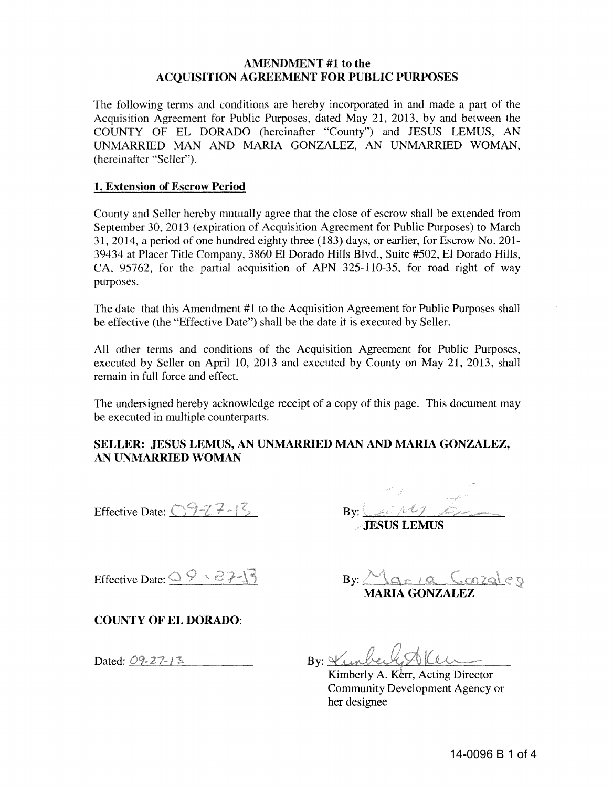## **AMENDMENT** #1 to the **ACQUISITION AGREEMENT FOR PUBLIC PURPOSES**

The following terms and conditions are hereby incorporated in and made a part of the Acquisition Agreement for Public Purposes, dated May 21, 2013, by and between the COUNTY OF EL DORADO (hereinafter "County") and JESUS LEMUS, AN UNMARRlED MAN AND MARIA GONZALEZ, AN UNMARRlED WOMAN, (hereinafter "Seller").

## **1. Extension of Escrow Period**

County and Seller hereby mutually agree that the close of escrow shall be extended from September 30,2013 (expiration of Acquisition Agreement for Public Purposes) to March 31,2014, a period of one hundred eighty three (183) days, or earlier, for Escrow No. 201- 39434 at Placer Title Company, 3860 EI Dorado Hills Blvd., Suite #502, EI Dorado Hills, CA, 95762, for the partial acquisition of APN 325-110-35, for road right of way purposes.

The date that this Amendment #1 to the Acquisition Agreement for Public Purposes shall be effective (the "Effective Date") shall be the date it is executed by Seller.

All other terms and conditions of the Acquisition Agreement for Public Purposes, executed by Seller on April 10, 2013 and executed by County on May 21, 2013, shall remain in full force and effect.

The undersigned hereby acknowledge receipt of a copy of this page. This document may be executed in multiple counterparts.

# **SELLER: JESUS LEMUS, AN UNMARRIED MAN AND MARIA GONZALEZ, AN UNMARRIED WOMAN**

Effective Date:  $927 - 15$ 

By:  $\mathcal{L} \cup \mathcal{M}$  , because

 $By:  $\triangle_{\text{Qr1Q}}$  Conzales$ **MARIA GONZALEZ** 

JESUS LEMUS

Effective Date:  $\frac{QQ \cdot 2}{2}$ 

**COUNTY OF EL DORADO:** 

Dated:  $09 - 27 - 13$ 

By: Vunbert Alen

Kimberly A. Kerr, Acting Director Community Development Agency or her designee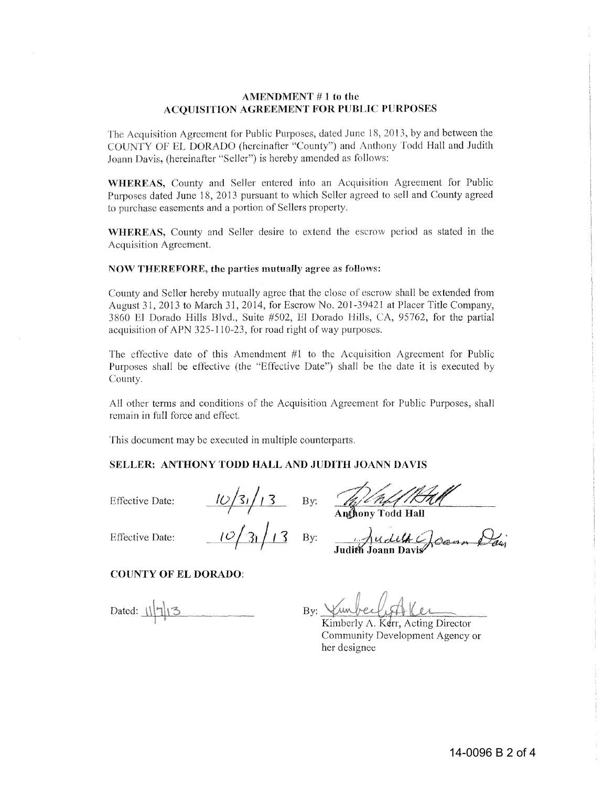#### **AMENDMENT # 1 to the ACQUISITION AGREEMENT FOR PUBLIC PURPOSES**

The Acquisition Agreement for Public Purposes, dated June 18, 2013, by and between the COUNTY OF EL DORADO (hereinafter "County") and Anthony Todd Hall and Judith Joann Davis, (hereinafter "Seller") is hereby amended as follows:

**WHEREAS,** County and Seller entered into an Acquisition Agreement for Public Purposes dated June 18, 2013 pursuant to which Seller agreed to sell and County agreed to purchase easements and a portion of Sellers property.

**WHEREAS,** County and Seller desire to extend the escrow period as stated in the Acquisition Agreement.

#### **NOW** THEREFORE~ **the** parties **mutually** agree as follows:

County and Seller hereby mutually agree that the close of escrow shall be extended from August 31,2013 to March 31, 2014, for Escrow No. 201-39421 at Placer Title Company, 3860 El Dorado Hills Blvd., Suite #502, HI Dorado Hills, CA, 95762, for the partial acquisition of APN 325-110-23, for road right of way purposes.

The effective date of this Amendment #1 to the Acquisition Agreement for Public Purposes shall be eflective (the "Effective Date") shall be the date it is executed by County.

All other terms and conditions of the Acquisition Agreement for Public Purposes, shall remain in full force and effect.

This document may be executed in multiple counterparts.

#### **SELLER: ANTHONY TODD HALL AND JUDITH JOANN DAVIS**

Effective Date:  $\frac{10}{51}$  By:

Effective Date:  $\frac{10}{31}$  13 By:

() Uclett Colomn Davi<br>Judith Joann Davis

Anthony Todd Hall

#### **COUNTY OF EL DORADO:**

Dated:  $\frac{1}{\sqrt{7}}$ 

,<br>ww  $By:$ 

Kimberly A. Kerr, Acting Director Community Development Agency or her designee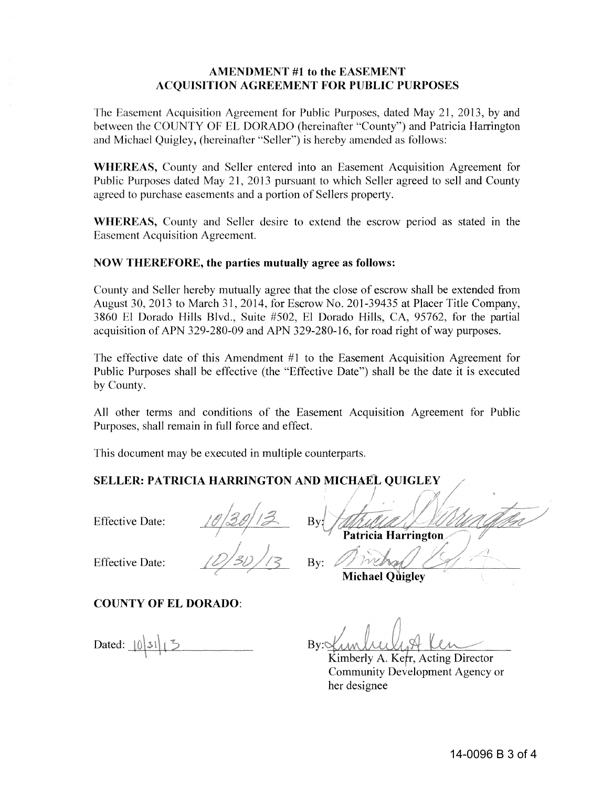## AMENDMENT #1 to the EASEMENT ACQUISITION AGREEMENT FOR PUBLIC PURPOSES

The Easement Acquisition Agreement for Public Purposes, dated May 21,2013, by and between the COUNTY OF EL DORADO (hereinafter "County") and Patricia Harrington and Michael Quigley, (hereinafter "Seller") is hereby amended as follows:

WHEREAS, County and Seller entered into an Easement Acquisition Agreement for Public Purposes dated May 21, 2013 pursuant to which Seller agreed to sell and County agreed to purchase easements and a portion of Sellers property.

WHEREAS, County and Seller desire to extend the escrow period as stated in the Easement Acquisition Agreement.

## NOW THEREFORE, the parties mutually agree as follows:

County and Seller hereby mutually agree that the close of escrow shall be extended from August 30, 2013 to March 31, 2014, for Escrow No. 201-39435 at Placer Title Company, 3860 EI Dorado Hills Blvd., Suite #502, EI Dorado Hills, CA, 95762, for the partial acquisition of APN 329-280-09 and APN 329-280-16, for road right of way purposes.

The effective date of this Amendment #1 to the Easement Acquisition Agreement for Public Purposes shall be effective (the "Effective Date") shall be the date it is executed by County.

All other terms and conditions of the Easement Acquisition Agreement for Public Purposes, shall remain in full force and effect.

By:

This document may be executed in multiple counterparts.

# SELLER: PATRICIA HARRINGTON AND MICHAEL QUIGLEY

Effective Date:



Effective Date:

# COUNTY OF EL DORADO:

Dated:  $\lceil 0 \rceil 31 \rceil$ 

I Bv: Patricia Harrington

**Michael Ouiglev** 

 $Bv$ :

Kimberly A. Kerr, Acting Director Community Development Agency or her designee